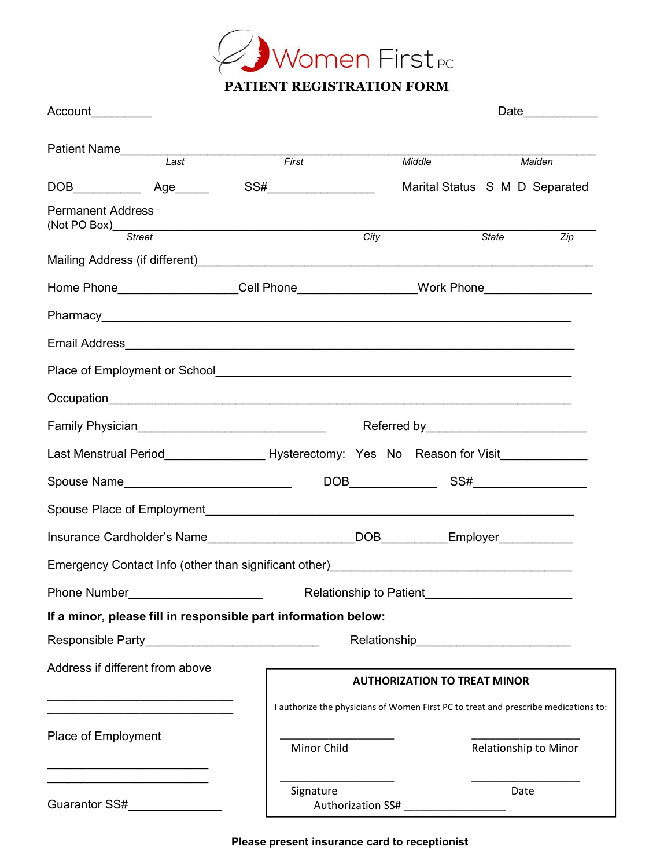

| Account ________         |                                                                                                                        |                                                                                                                       |                                                                                     | Date $\qquad \qquad$                |                       |        |  |
|--------------------------|------------------------------------------------------------------------------------------------------------------------|-----------------------------------------------------------------------------------------------------------------------|-------------------------------------------------------------------------------------|-------------------------------------|-----------------------|--------|--|
|                          | Patient Name<br>Last                                                                                                   | First                                                                                                                 |                                                                                     | Middle                              |                       | Maiden |  |
|                          |                                                                                                                        |                                                                                                                       |                                                                                     | Marital Status S M D Separated      |                       |        |  |
| <b>Permanent Address</b> |                                                                                                                        |                                                                                                                       |                                                                                     |                                     |                       |        |  |
| (Not PO Box) Street      |                                                                                                                        |                                                                                                                       | City                                                                                |                                     | <b>State</b>          | Zip    |  |
|                          |                                                                                                                        |                                                                                                                       |                                                                                     |                                     |                       |        |  |
|                          |                                                                                                                        |                                                                                                                       | Home Phone___________________Cell Phone__________________Work Phone_____________    |                                     |                       |        |  |
|                          |                                                                                                                        |                                                                                                                       |                                                                                     |                                     |                       |        |  |
|                          |                                                                                                                        |                                                                                                                       |                                                                                     |                                     |                       |        |  |
|                          |                                                                                                                        |                                                                                                                       |                                                                                     |                                     |                       |        |  |
|                          |                                                                                                                        |                                                                                                                       |                                                                                     |                                     |                       |        |  |
|                          |                                                                                                                        | Family Physician_______________________________                                                                       |                                                                                     |                                     |                       |        |  |
|                          |                                                                                                                        | Last Menstrual Period ______________________Hysterectomy: Yes No Reason for Visit                                     |                                                                                     |                                     |                       |        |  |
|                          |                                                                                                                        |                                                                                                                       |                                                                                     |                                     |                       |        |  |
|                          |                                                                                                                        |                                                                                                                       |                                                                                     |                                     |                       |        |  |
|                          |                                                                                                                        |                                                                                                                       | Insurance Cardholder's Name_________________________DOB__________Employer________   |                                     |                       |        |  |
|                          |                                                                                                                        | Emergency Contact Info (other than significant other)<br><u>Emergency Contact Info (other than significant other)</u> |                                                                                     |                                     |                       |        |  |
|                          |                                                                                                                        | Phone Number <u>Communications</u> Relationship to Patient                                                            |                                                                                     |                                     |                       |        |  |
|                          |                                                                                                                        | If a minor, please fill in responsible part information below:                                                        |                                                                                     |                                     |                       |        |  |
|                          |                                                                                                                        |                                                                                                                       |                                                                                     |                                     |                       |        |  |
|                          | Address if different from above                                                                                        |                                                                                                                       |                                                                                     |                                     |                       |        |  |
|                          | <u> 1986 - Johann John Stone, market fan de Amerikaansk kommunister oan de Amerikaansk kommunent fan de Amerikaans</u> |                                                                                                                       |                                                                                     | <b>AUTHORIZATION TO TREAT MINOR</b> |                       |        |  |
|                          | the control of the control of the control of the control of the control of                                             |                                                                                                                       | I authorize the physicians of Women First PC to treat and prescribe medications to: |                                     |                       |        |  |
| Place of Employment      |                                                                                                                        |                                                                                                                       | Minor Child                                                                         |                                     | Relationship to Minor |        |  |
|                          |                                                                                                                        | Signature                                                                                                             |                                                                                     |                                     | Date                  |        |  |
| Guarantor SS#            |                                                                                                                        |                                                                                                                       | Authorization SS#                                                                   |                                     |                       |        |  |

**Please present insurance card to receptionist**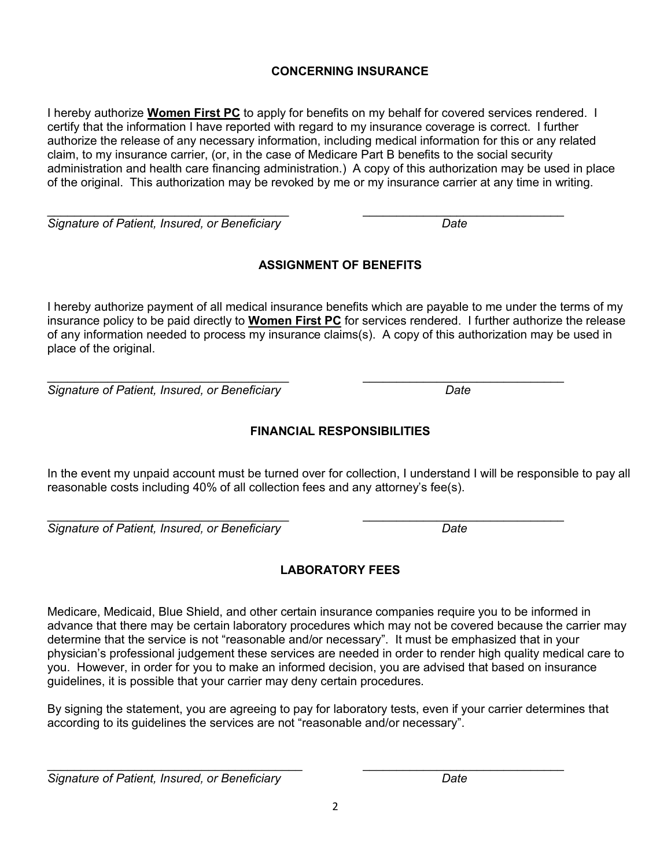# **CONCERNING INSURANCE**

I hereby authorize **Women First PC** to apply for benefits on my behalf for covered services rendered. I certify that the information I have reported with regard to my insurance coverage is correct. I further authorize the release of any necessary information, including medical information for this or any related claim, to my insurance carrier, (or, in the case of Medicare Part B benefits to the social security administration and health care financing administration.) A copy of this authorization may be used in place of the original. This authorization may be revoked by me or my insurance carrier at any time in writing.

 $\mathcal{L}_\text{max}$  , and the contract of the contract of the contract of the contract of the contract of the contract of the contract of the contract of the contract of the contract of the contract of the contract of the contr *Signature of Patient, Insured, or Beneficiary Date*

# **ASSIGNMENT OF BENEFITS**

I hereby authorize payment of all medical insurance benefits which are payable to me under the terms of my insurance policy to be paid directly to **Women First PC** for services rendered. I further authorize the release of any information needed to process my insurance claims(s). A copy of this authorization may be used in place of the original.

 $\mathcal{L}_\text{max}$  , and the contract of the contract of the contract of the contract of the contract of the contract of the contract of the contract of the contract of the contract of the contract of the contract of the contr *Signature of Patient, Insured, or Beneficiary Date*

# **FINANCIAL RESPONSIBILITIES**

In the event my unpaid account must be turned over for collection, I understand I will be responsible to pay all reasonable costs including 40% of all collection fees and any attorney's fee(s).

*Signature of Patient, Insured, or Beneficiary Date*

# **LABORATORY FEES**

Medicare, Medicaid, Blue Shield, and other certain insurance companies require you to be informed in advance that there may be certain laboratory procedures which may not be covered because the carrier may determine that the service is not "reasonable and/or necessary". It must be emphasized that in your physician's professional judgement these services are needed in order to render high quality medical care to you. However, in order for you to make an informed decision, you are advised that based on insurance guidelines, it is possible that your carrier may deny certain procedures.

By signing the statement, you are agreeing to pay for laboratory tests, even if your carrier determines that according to its guidelines the services are not "reasonable and/or necessary".

 $\mathcal{L}_\text{max}$  , and the contribution of the contribution of the contribution of the contribution of the contribution of the contribution of the contribution of the contribution of the contribution of the contribution of t

*Signature of Patient, Insured, or Beneficiary Date*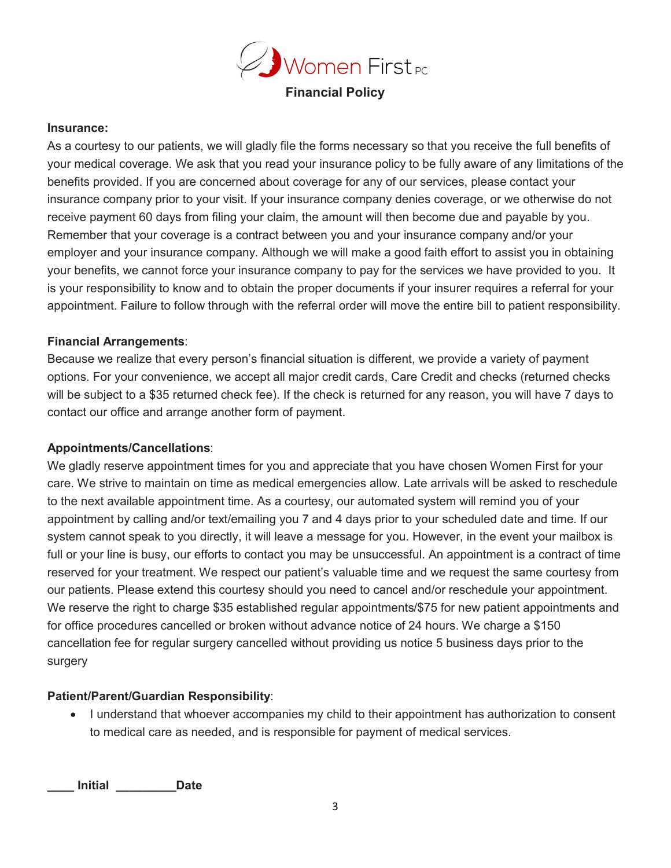

# **Financial Policy**

#### **Insurance:**

As a courtesy to our patients, we will gladly file the forms necessary so that you receive the full benefits of your medical coverage. We ask that you read your insurance policy to be fully aware of any limitations of the benefits provided. If you are concerned about coverage for any of our services, please contact your insurance company prior to your visit. If your insurance company denies coverage, or we otherwise do not receive payment 60 days from filing your claim, the amount will then become due and payable by you. Remember that your coverage is a contract between you and your insurance company and/or your employer and your insurance company. Although we will make a good faith effort to assist you in obtaining your benefits, we cannot force your insurance company to pay for the services we have provided to you. It is your responsibility to know and to obtain the proper documents if your insurer requires a referral for your appointment. Failure to follow through with the referral order will move the entire bill to patient responsibility.

#### **Financial Arrangements**:

Because we realize that every person's financial situation is different, we provide a variety of payment options. For your convenience, we accept all major credit cards, Care Credit and checks (returned checks will be subject to a \$35 returned check fee). If the check is returned for any reason, you will have 7 days to contact our office and arrange another form of payment.

#### **Appointments/Cancellations**:

We gladly reserve appointment times for you and appreciate that you have chosen Women First for your care. We strive to maintain on time as medical emergencies allow. Late arrivals will be asked to reschedule to the next available appointment time. As a courtesy, our automated system will remind you of your appointment by calling and/or text/emailing you 7 and 4 days prior to your scheduled date and time. If our system cannot speak to you directly, it will leave a message for you. However, in the event your mailbox is full or your line is busy, our efforts to contact you may be unsuccessful. An appointment is a contract of time reserved for your treatment. We respect our patient's valuable time and we request the same courtesy from our patients. Please extend this courtesy should you need to cancel and/or reschedule your appointment. We reserve the right to charge \$35 established regular appointments/\$75 for new patient appointments and for office procedures cancelled or broken without advance notice of 24 hours. We charge a \$150 cancellation fee for regular surgery cancelled without providing us notice 5 business days prior to the surgery

#### **Patient/Parent/Guardian Responsibility**:

■ I understand that whoever accompanies my child to their appointment has authorization to consent to medical care as needed, and is responsible for payment of medical services.

**\_\_\_\_ Initial \_\_\_\_\_\_\_\_\_Date**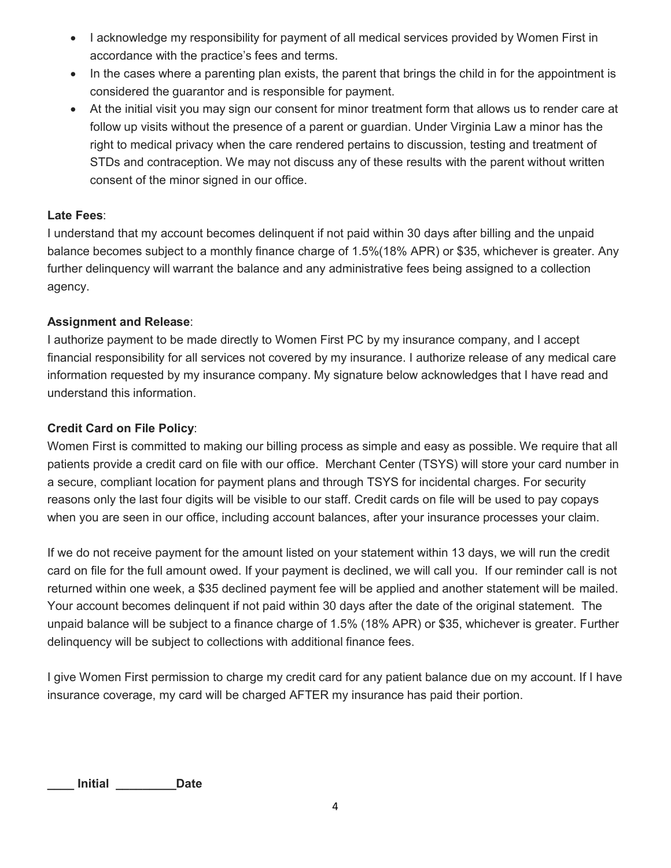- I acknowledge my responsibility for payment of all medical services provided by Women First in accordance with the practice's fees and terms.
- In the cases where a parenting plan exists, the parent that brings the child in for the appointment is considered the guarantor and is responsible for payment.
- At the initial visit you may sign our consent for minor treatment form that allows us to render care at follow up visits without the presence of a parent or guardian. Under Virginia Law a minor has the right to medical privacy when the care rendered pertains to discussion, testing and treatment of STDs and contraception. We may not discuss any of these results with the parent without written consent of the minor signed in our office.

## **Late Fees**:

I understand that my account becomes delinquent if not paid within 30 days after billing and the unpaid balance becomes subject to a monthly finance charge of 1.5%(18% APR) or \$35, whichever is greater. Any further delinquency will warrant the balance and any administrative fees being assigned to a collection agency.

### **Assignment and Release**:

I authorize payment to be made directly to Women First PC by my insurance company, and I accept financial responsibility for all services not covered by my insurance. I authorize release of any medical care information requested by my insurance company. My signature below acknowledges that I have read and understand this information.

# **Credit Card on File Policy**:

Women First is committed to making our billing process as simple and easy as possible. We require that all patients provide a credit card on file with our office. Merchant Center (TSYS) will store your card number in a secure, compliant location for payment plans and through TSYS for incidental charges. For security reasons only the last four digits will be visible to our staff. Credit cards on file will be used to pay copays when you are seen in our office, including account balances, after your insurance processes your claim.

If we do not receive payment for the amount listed on your statement within 13 days, we will run the credit card on file for the full amount owed. If your payment is declined, we will call you. If our reminder call is not returned within one week, a \$35 declined payment fee will be applied and another statement will be mailed. Your account becomes delinquent if not paid within 30 days after the date of the original statement. The unpaid balance will be subject to a finance charge of 1.5% (18% APR) or \$35, whichever is greater. Further delinquency will be subject to collections with additional finance fees.

I give Women First permission to charge my credit card for any patient balance due on my account. If I have insurance coverage, my card will be charged AFTER my insurance has paid their portion.

**\_\_\_\_ Initial \_\_\_\_\_\_\_\_\_Date**